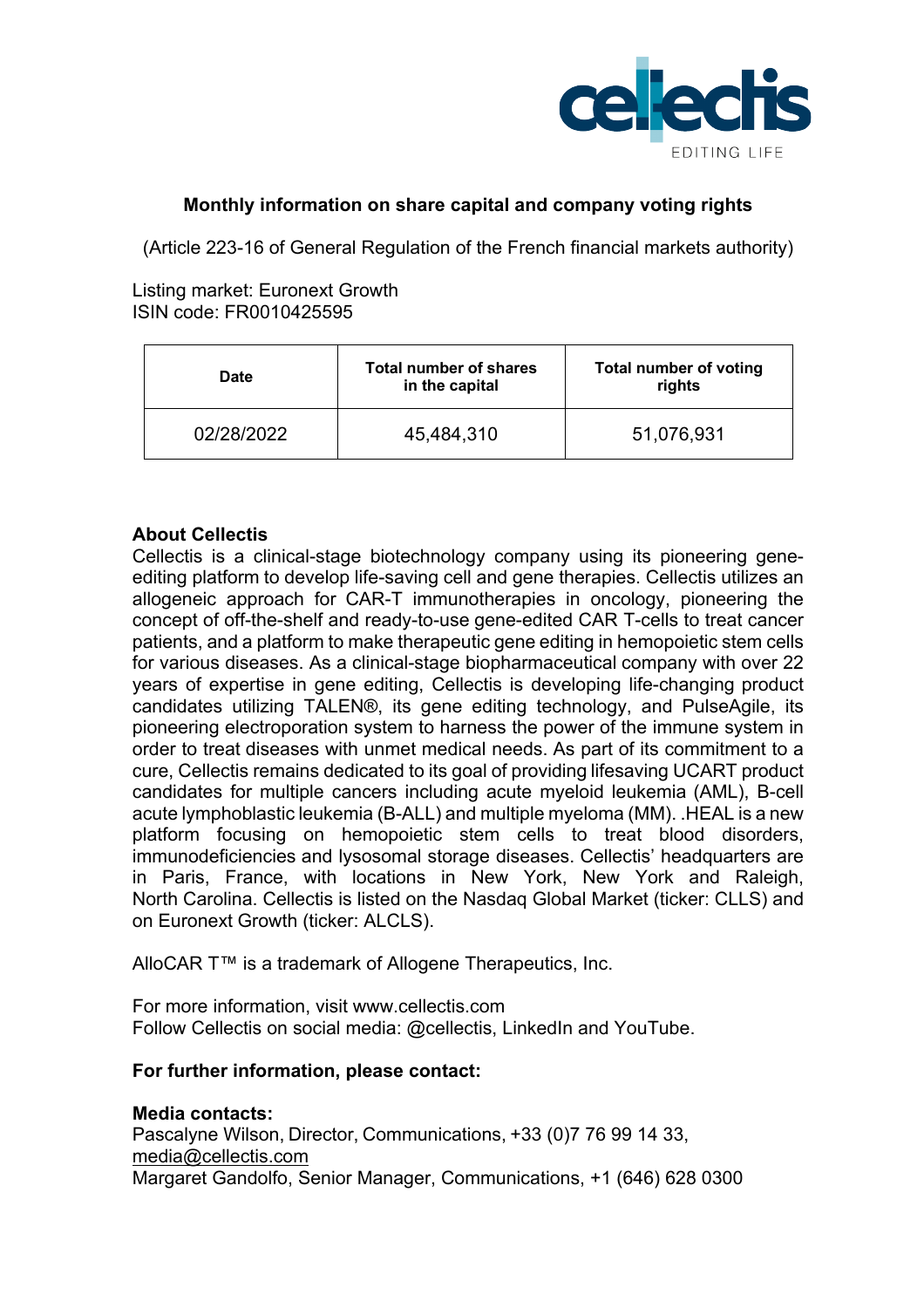

## **Monthly information on share capital and company voting rights**

(Article 223-16 of General Regulation of the French financial markets authority)

Listing market: Euronext Growth ISIN code: FR0010425595

| Date       | <b>Total number of shares</b><br>in the capital | <b>Total number of voting</b><br>rights |
|------------|-------------------------------------------------|-----------------------------------------|
| 02/28/2022 | 45,484,310                                      | 51,076,931                              |

### **About Cellectis**

Cellectis is a clinical-stage biotechnology company using its pioneering geneediting platform to develop life-saving cell and gene therapies. Cellectis utilizes an allogeneic approach for CAR-T immunotherapies in oncology, pioneering the concept of off-the-shelf and ready-to-use gene-edited CAR T-cells to treat cancer patients, and a platform to make therapeutic gene editing in hemopoietic stem cells for various diseases. As a clinical-stage biopharmaceutical company with over 22 years of expertise in gene editing, Cellectis is developing life-changing product candidates utilizing TALEN®, its gene editing technology, and PulseAgile, its pioneering electroporation system to harness the power of the immune system in order to treat diseases with unmet medical needs. As part of its commitment to a cure, Cellectis remains dedicated to its goal of providing lifesaving UCART product candidates for multiple cancers including acute myeloid leukemia (AML), B-cell acute lymphoblastic leukemia (B-ALL) and multiple myeloma (MM). .HEAL is a new platform focusing on hemopoietic stem cells to treat blood disorders, immunodeficiencies and lysosomal storage diseases. Cellectis' headquarters are in Paris, France, with locations in New York, New York and Raleigh, North Carolina. Cellectis is listed on the Nasdaq Global Market (ticker: CLLS) and on Euronext Growth (ticker: ALCLS).

AlloCAR T™ is a trademark of Allogene Therapeutics, Inc.

For more information, visit www.cellectis.com Follow Cellectis on social media: @cellectis, LinkedIn and YouTube.

# **For further information, please contact:**

### **Media contacts:**

Pascalyne Wilson, Director, Communications, +33 (0)7 76 99 14 33, media@cellectis.com Margaret Gandolfo, Senior Manager, Communications, +1 (646) 628 0300